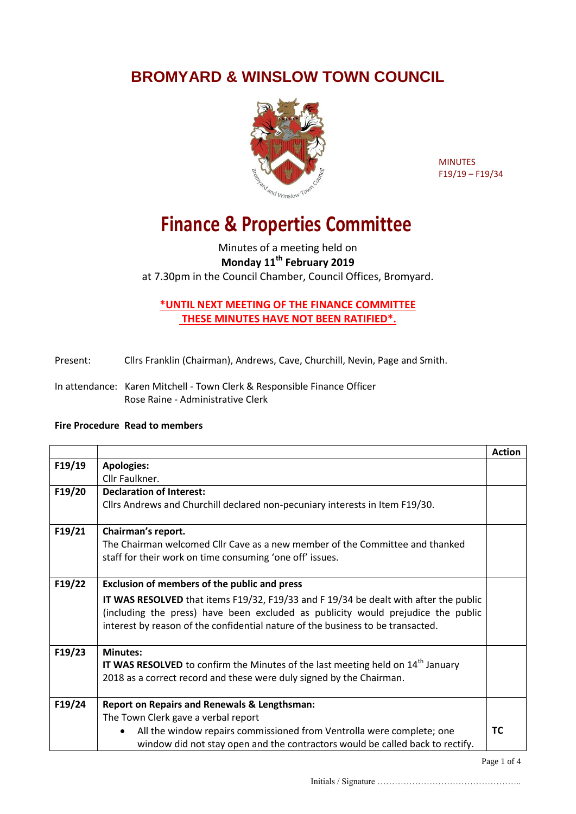**BROMYARD & WINSLOW TOWN COUNCIL**



MINUTES F19/19 – F19/34

## **Finance & Properties Committee**

## Minutes of a meeting held on **Monday 11th February 2019** at 7.30pm in the Council Chamber, Council Offices, Bromyard.

## **\*UNTIL NEXT MEETING OF THE FINANCE COMMITTEE THESE MINUTES HAVE NOT BEEN RATIFIED\*.**

- Present: Cllrs Franklin (Chairman), Andrews, Cave, Churchill, Nevin, Page and Smith.
- In attendance: Karen Mitchell Town Clerk & Responsible Finance Officer Rose Raine - Administrative Clerk

## **Fire Procedure Read to members**

|        |                                                                                          | <b>Action</b> |  |
|--------|------------------------------------------------------------------------------------------|---------------|--|
| F19/19 | <b>Apologies:</b>                                                                        |               |  |
|        | Cllr Faulkner.                                                                           |               |  |
| F19/20 | <b>Declaration of Interest:</b>                                                          |               |  |
|        | Cllrs Andrews and Churchill declared non-pecuniary interests in Item F19/30.             |               |  |
| F19/21 | Chairman's report.                                                                       |               |  |
|        | The Chairman welcomed Cllr Cave as a new member of the Committee and thanked             |               |  |
|        | staff for their work on time consuming 'one off' issues.                                 |               |  |
|        |                                                                                          |               |  |
| F19/22 | <b>Exclusion of members of the public and press</b>                                      |               |  |
|        | IT WAS RESOLVED that items F19/32, F19/33 and F19/34 be dealt with after the public      |               |  |
|        | (including the press) have been excluded as publicity would prejudice the public         |               |  |
|        | interest by reason of the confidential nature of the business to be transacted.          |               |  |
|        |                                                                                          |               |  |
| F19/23 | <b>Minutes:</b>                                                                          |               |  |
|        | <b>IT WAS RESOLVED</b> to confirm the Minutes of the last meeting held on $14th$ January |               |  |
|        | 2018 as a correct record and these were duly signed by the Chairman.                     |               |  |
|        |                                                                                          |               |  |
| F19/24 | <b>Report on Repairs and Renewals &amp; Lengthsman:</b>                                  |               |  |
|        | The Town Clerk gave a verbal report                                                      |               |  |
|        | All the window repairs commissioned from Ventrolla were complete; one<br>$\bullet$       | TC            |  |
|        | window did not stay open and the contractors would be called back to rectify.            |               |  |

Initials / Signature …………………………………………..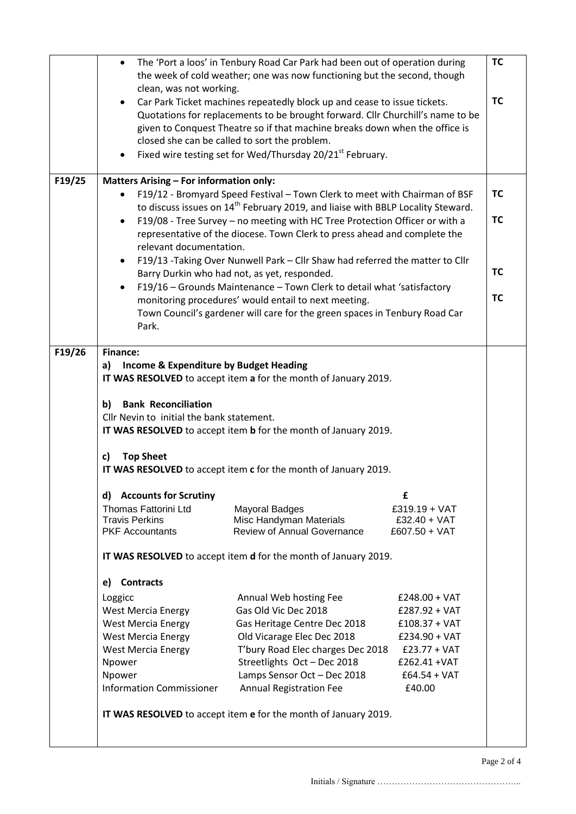|        | The 'Port a loos' in Tenbury Road Car Park had been out of operation during<br>$\bullet$<br>the week of cold weather; one was now functioning but the second, though<br>clean, was not working.                                                        |                                                                 |                                   |           |  |  |
|--------|--------------------------------------------------------------------------------------------------------------------------------------------------------------------------------------------------------------------------------------------------------|-----------------------------------------------------------------|-----------------------------------|-----------|--|--|
|        | Car Park Ticket machines repeatedly block up and cease to issue tickets.<br>$\bullet$<br>Quotations for replacements to be brought forward. Cllr Churchill's name to be<br>given to Conquest Theatre so if that machine breaks down when the office is |                                                                 |                                   | <b>TC</b> |  |  |
|        | closed she can be called to sort the problem.<br>Fixed wire testing set for Wed/Thursday 20/21 <sup>st</sup> February.<br>$\bullet$                                                                                                                    |                                                                 |                                   |           |  |  |
| F19/25 | <b>Matters Arising - For information only:</b>                                                                                                                                                                                                         |                                                                 |                                   |           |  |  |
|        | F19/12 - Bromyard Speed Festival - Town Clerk to meet with Chairman of BSF                                                                                                                                                                             |                                                                 |                                   | <b>TC</b> |  |  |
|        | to discuss issues on 14 <sup>th</sup> February 2019, and liaise with BBLP Locality Steward.                                                                                                                                                            |                                                                 |                                   | <b>TC</b> |  |  |
|        | F19/08 - Tree Survey - no meeting with HC Tree Protection Officer or with a<br>$\bullet$                                                                                                                                                               |                                                                 |                                   |           |  |  |
|        | representative of the diocese. Town Clerk to press ahead and complete the<br>relevant documentation.                                                                                                                                                   |                                                                 |                                   |           |  |  |
|        | F19/13 - Taking Over Nunwell Park - Cllr Shaw had referred the matter to Cllr<br>$\bullet$                                                                                                                                                             |                                                                 |                                   |           |  |  |
|        | Barry Durkin who had not, as yet, responded.                                                                                                                                                                                                           |                                                                 |                                   |           |  |  |
|        | F19/16 - Grounds Maintenance - Town Clerk to detail what 'satisfactory<br>$\bullet$<br><b>TC</b>                                                                                                                                                       |                                                                 |                                   |           |  |  |
|        | monitoring procedures' would entail to next meeting.                                                                                                                                                                                                   |                                                                 |                                   |           |  |  |
|        | Town Council's gardener will care for the green spaces in Tenbury Road Car<br>Park.                                                                                                                                                                    |                                                                 |                                   |           |  |  |
|        |                                                                                                                                                                                                                                                        |                                                                 |                                   |           |  |  |
| F19/26 | <b>Finance:</b>                                                                                                                                                                                                                                        |                                                                 |                                   |           |  |  |
|        | Income & Expenditure by Budget Heading<br>a)                                                                                                                                                                                                           |                                                                 |                                   |           |  |  |
|        |                                                                                                                                                                                                                                                        | IT WAS RESOLVED to accept item a for the month of January 2019. |                                   |           |  |  |
|        | <b>Bank Reconciliation</b><br>b)<br>Cllr Nevin to initial the bank statement.<br>IT WAS RESOLVED to accept item b for the month of January 2019.                                                                                                       |                                                                 |                                   |           |  |  |
|        | <b>Top Sheet</b><br>C)                                                                                                                                                                                                                                 |                                                                 |                                   |           |  |  |
|        |                                                                                                                                                                                                                                                        | IT WAS RESOLVED to accept item c for the month of January 2019. |                                   |           |  |  |
|        |                                                                                                                                                                                                                                                        |                                                                 |                                   |           |  |  |
|        | <b>Accounts for Scrutiny</b><br>d)                                                                                                                                                                                                                     |                                                                 | £                                 |           |  |  |
|        | Thomas Fattorini Ltd<br><b>Travis Perkins</b>                                                                                                                                                                                                          | <b>Mayoral Badges</b><br>Misc Handyman Materials                | $£319.19 + VAT$<br>£32.40 + $VAT$ |           |  |  |
|        | <b>PKF</b> Accountants                                                                                                                                                                                                                                 | <b>Review of Annual Governance</b>                              | $£607.50 + VAT$                   |           |  |  |
|        | IT WAS RESOLVED to accept item d for the month of January 2019.                                                                                                                                                                                        |                                                                 |                                   |           |  |  |
|        | <b>Contracts</b><br>e)                                                                                                                                                                                                                                 |                                                                 |                                   |           |  |  |
|        | Loggicc                                                                                                                                                                                                                                                | Annual Web hosting Fee                                          | $£248.00 + VAT$                   |           |  |  |
|        | <b>West Mercia Energy</b>                                                                                                                                                                                                                              | Gas Old Vic Dec 2018                                            | £287.92 + VAT                     |           |  |  |
|        | <b>West Mercia Energy</b>                                                                                                                                                                                                                              | Gas Heritage Centre Dec 2018                                    | $£108.37 + VAT$                   |           |  |  |
|        | <b>West Mercia Energy</b>                                                                                                                                                                                                                              | Old Vicarage Elec Dec 2018                                      | $£234.90 + VAT$                   |           |  |  |
|        | <b>West Mercia Energy</b>                                                                                                                                                                                                                              | T'bury Road Elec charges Dec 2018                               | $£23.77 + VAT$                    |           |  |  |
|        | Npower                                                                                                                                                                                                                                                 | Streetlights Oct - Dec 2018                                     | £262.41 + VAT                     |           |  |  |
|        | Npower<br><b>Information Commissioner</b>                                                                                                                                                                                                              | Lamps Sensor Oct - Dec 2018<br><b>Annual Registration Fee</b>   | $£64.54 + VAT$<br>£40.00          |           |  |  |
|        |                                                                                                                                                                                                                                                        |                                                                 |                                   |           |  |  |
|        |                                                                                                                                                                                                                                                        | IT WAS RESOLVED to accept item e for the month of January 2019. |                                   |           |  |  |
|        |                                                                                                                                                                                                                                                        |                                                                 |                                   |           |  |  |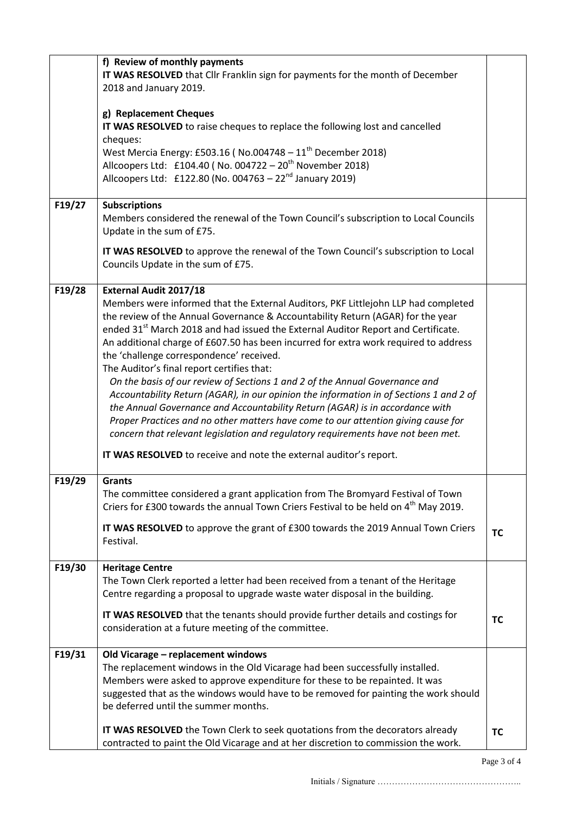|        | f) Review of monthly payments                                                                   |           |  |  |
|--------|-------------------------------------------------------------------------------------------------|-----------|--|--|
|        | IT WAS RESOLVED that Cllr Franklin sign for payments for the month of December                  |           |  |  |
|        | 2018 and January 2019.                                                                          |           |  |  |
|        |                                                                                                 |           |  |  |
|        | g) Replacement Cheques                                                                          |           |  |  |
|        | IT WAS RESOLVED to raise cheques to replace the following lost and cancelled                    |           |  |  |
|        | cheques:                                                                                        |           |  |  |
|        | West Mercia Energy: £503.16 (No.004748 - 11 <sup>th</sup> December 2018)                        |           |  |  |
|        | Allcoopers Ltd: £104.40 (No. 004722 - 20 <sup>th</sup> November 2018)                           |           |  |  |
|        | Allcoopers Ltd: £122.80 (No. 004763 - $22^{nd}$ January 2019)                                   |           |  |  |
|        |                                                                                                 |           |  |  |
| F19/27 | <b>Subscriptions</b>                                                                            |           |  |  |
|        | Members considered the renewal of the Town Council's subscription to Local Councils             |           |  |  |
|        | Update in the sum of £75.                                                                       |           |  |  |
|        | IT WAS RESOLVED to approve the renewal of the Town Council's subscription to Local              |           |  |  |
|        | Councils Update in the sum of £75.                                                              |           |  |  |
|        |                                                                                                 |           |  |  |
| F19/28 | <b>External Audit 2017/18</b>                                                                   |           |  |  |
|        | Members were informed that the External Auditors, PKF Littlejohn LLP had completed              |           |  |  |
|        | the review of the Annual Governance & Accountability Return (AGAR) for the year                 |           |  |  |
|        | ended 31 <sup>st</sup> March 2018 and had issued the External Auditor Report and Certificate.   |           |  |  |
|        | An additional charge of £607.50 has been incurred for extra work required to address            |           |  |  |
|        | the 'challenge correspondence' received.                                                        |           |  |  |
|        | The Auditor's final report certifies that:                                                      |           |  |  |
|        | On the basis of our review of Sections 1 and 2 of the Annual Governance and                     |           |  |  |
|        | Accountability Return (AGAR), in our opinion the information in of Sections 1 and 2 of          |           |  |  |
|        |                                                                                                 |           |  |  |
|        | the Annual Governance and Accountability Return (AGAR) is in accordance with                    |           |  |  |
|        | Proper Practices and no other matters have come to our attention giving cause for               |           |  |  |
|        | concern that relevant legislation and regulatory requirements have not been met.                |           |  |  |
|        | IT WAS RESOLVED to receive and note the external auditor's report.                              |           |  |  |
| F19/29 | <b>Grants</b>                                                                                   |           |  |  |
|        | The committee considered a grant application from The Bromyard Festival of Town                 |           |  |  |
|        | Criers for £300 towards the annual Town Criers Festival to be held on 4 <sup>th</sup> May 2019. |           |  |  |
|        |                                                                                                 |           |  |  |
|        | IT WAS RESOLVED to approve the grant of £300 towards the 2019 Annual Town Criers                | <b>TC</b> |  |  |
|        | Festival.                                                                                       |           |  |  |
| F19/30 | <b>Heritage Centre</b>                                                                          |           |  |  |
|        | The Town Clerk reported a letter had been received from a tenant of the Heritage                |           |  |  |
|        | Centre regarding a proposal to upgrade waste water disposal in the building.                    |           |  |  |
|        |                                                                                                 |           |  |  |
|        | IT WAS RESOLVED that the tenants should provide further details and costings for                | TC        |  |  |
|        | consideration at a future meeting of the committee.                                             |           |  |  |
| F19/31 | Old Vicarage - replacement windows                                                              |           |  |  |
|        | The replacement windows in the Old Vicarage had been successfully installed.                    |           |  |  |
|        | Members were asked to approve expenditure for these to be repainted. It was                     |           |  |  |
|        | suggested that as the windows would have to be removed for painting the work should             |           |  |  |
|        | be deferred until the summer months.                                                            |           |  |  |
|        |                                                                                                 |           |  |  |
|        | IT WAS RESOLVED the Town Clerk to seek quotations from the decorators already                   | <b>TC</b> |  |  |
|        | contracted to paint the Old Vicarage and at her discretion to commission the work.              |           |  |  |